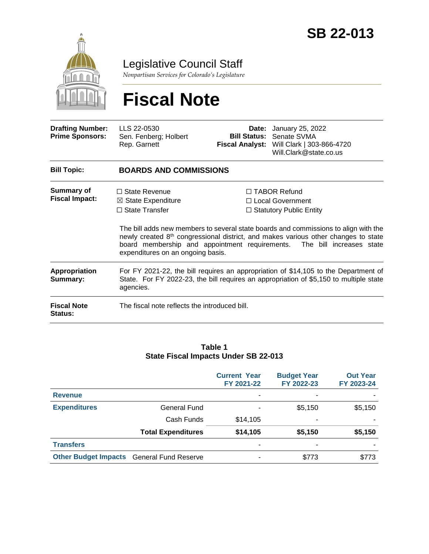

Legislative Council Staff

*Nonpartisan Services for Colorado's Legislature*

# **Fiscal Note**

| <b>Drafting Number:</b><br><b>Prime Sponsors:</b> | LLS 22-0530<br>Sen. Fenberg; Holbert<br>Rep. Garnett                                                                                                                                       |                                                                                                                                                                                                                                                                                                                                                         | <b>Date:</b> January 25, 2022<br><b>Bill Status: Senate SVMA</b><br>Fiscal Analyst: Will Clark   303-866-4720<br>Will.Clark@state.co.us |  |  |  |
|---------------------------------------------------|--------------------------------------------------------------------------------------------------------------------------------------------------------------------------------------------|---------------------------------------------------------------------------------------------------------------------------------------------------------------------------------------------------------------------------------------------------------------------------------------------------------------------------------------------------------|-----------------------------------------------------------------------------------------------------------------------------------------|--|--|--|
| <b>Bill Topic:</b>                                | <b>BOARDS AND COMMISSIONS</b>                                                                                                                                                              |                                                                                                                                                                                                                                                                                                                                                         |                                                                                                                                         |  |  |  |
| <b>Summary of</b><br><b>Fiscal Impact:</b>        | $\Box$ State Revenue<br>$\boxtimes$ State Expenditure<br>□ State Transfer<br>expenditures on an ongoing basis.                                                                             | $\Box$ TABOR Refund<br>$\Box$ Local Government<br>$\Box$ Statutory Public Entity<br>The bill adds new members to several state boards and commissions to align with the<br>newly created 8 <sup>th</sup> congressional district, and makes various other changes to state<br>board membership and appointment requirements.<br>The bill increases state |                                                                                                                                         |  |  |  |
| <b>Appropriation</b><br>Summary:                  | For FY 2021-22, the bill requires an appropriation of \$14,105 to the Department of<br>State. For FY 2022-23, the bill requires an appropriation of \$5,150 to multiple state<br>agencies. |                                                                                                                                                                                                                                                                                                                                                         |                                                                                                                                         |  |  |  |
| <b>Fiscal Note</b><br><b>Status:</b>              | The fiscal note reflects the introduced bill.                                                                                                                                              |                                                                                                                                                                                                                                                                                                                                                         |                                                                                                                                         |  |  |  |

#### **Table 1 State Fiscal Impacts Under SB 22-013**

|                                                  |                           | <b>Current Year</b><br>FY 2021-22 | <b>Budget Year</b><br>FY 2022-23 | <b>Out Year</b><br>FY 2023-24 |
|--------------------------------------------------|---------------------------|-----------------------------------|----------------------------------|-------------------------------|
| <b>Revenue</b>                                   |                           |                                   |                                  |                               |
| <b>Expenditures</b>                              | General Fund              |                                   | \$5,150                          | \$5,150                       |
|                                                  | Cash Funds                | \$14,105                          |                                  |                               |
|                                                  | <b>Total Expenditures</b> | \$14,105                          | \$5,150                          | \$5,150                       |
| <b>Transfers</b>                                 |                           |                                   |                                  |                               |
| <b>Other Budget Impacts</b> General Fund Reserve |                           |                                   | \$773                            | \$773                         |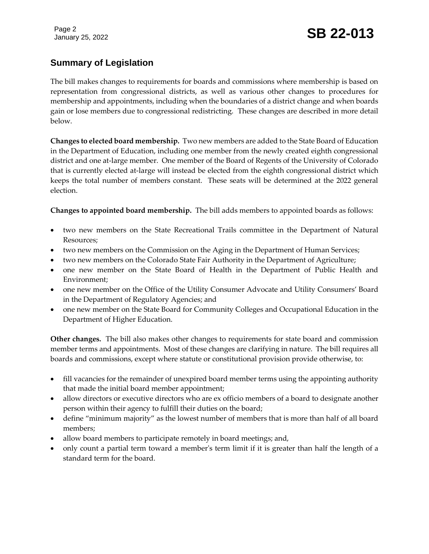Page 2

# January 25, 2022 **SB 22-013**

# **Summary of Legislation**

The bill makes changes to requirements for boards and commissions where membership is based on representation from congressional districts, as well as various other changes to procedures for membership and appointments, including when the boundaries of a district change and when boards gain or lose members due to congressional redistricting. These changes are described in more detail below.

**Changes to elected board membership.** Two new members are added to the State Board of Education in the Department of Education, including one member from the newly created eighth congressional district and one at-large member. One member of the Board of Regents of the University of Colorado that is currently elected at-large will instead be elected from the eighth congressional district which keeps the total number of members constant. These seats will be determined at the 2022 general election.

**Changes to appointed board membership.** The bill adds members to appointed boards as follows:

- two new members on the State Recreational Trails committee in the Department of Natural Resources;
- two new members on the Commission on the Aging in the Department of Human Services;
- two new members on the Colorado State Fair Authority in the Department of Agriculture;
- one new member on the State Board of Health in the Department of Public Health and Environment;
- one new member on the Office of the Utility Consumer Advocate and Utility Consumers' Board in the Department of Regulatory Agencies; and
- one new member on the State Board for Community Colleges and Occupational Education in the Department of Higher Education.

**Other changes.** The bill also makes other changes to requirements for state board and commission member terms and appointments. Most of these changes are clarifying in nature. The bill requires all boards and commissions, except where statute or constitutional provision provide otherwise, to:

- fill vacancies for the remainder of unexpired board member terms using the appointing authority that made the initial board member appointment;
- allow directors or executive directors who are ex officio members of a board to designate another person within their agency to fulfill their duties on the board;
- define "minimum majority" as the lowest number of members that is more than half of all board members;
- allow board members to participate remotely in board meetings; and,
- only count a partial term toward a member's term limit if it is greater than half the length of a standard term for the board.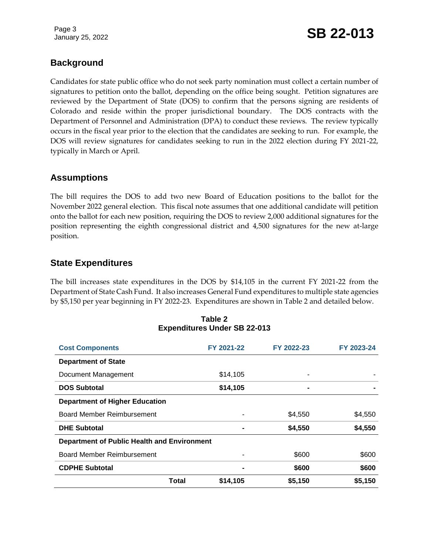Page 3

# January 25, 2022 **SB 22-013**

## **Background**

Candidates for state public office who do not seek party nomination must collect a certain number of signatures to petition onto the ballot, depending on the office being sought. Petition signatures are reviewed by the Department of State (DOS) to confirm that the persons signing are residents of Colorado and reside within the proper jurisdictional boundary. The DOS contracts with the Department of Personnel and Administration (DPA) to conduct these reviews. The review typically occurs in the fiscal year prior to the election that the candidates are seeking to run. For example, the DOS will review signatures for candidates seeking to run in the 2022 election during FY 2021-22, typically in March or April.

#### **Assumptions**

The bill requires the DOS to add two new Board of Education positions to the ballot for the November 2022 general election. This fiscal note assumes that one additional candidate will petition onto the ballot for each new position, requiring the DOS to review 2,000 additional signatures for the position representing the eighth congressional district and 4,500 signatures for the new at-large position.

#### **State Expenditures**

The bill increases state expenditures in the DOS by \$14,105 in the current FY 2021-22 from the Department of State Cash Fund. It also increases General Fund expenditures to multiple state agencies by \$5,150 per year beginning in FY 2022-23. Expenditures are shown in Table 2 and detailed below.

| <b>Cost Components</b>                             |       | FY 2021-22 | FY 2022-23 | FY 2023-24 |  |  |  |
|----------------------------------------------------|-------|------------|------------|------------|--|--|--|
| <b>Department of State</b>                         |       |            |            |            |  |  |  |
| Document Management                                |       | \$14,105   |            |            |  |  |  |
| <b>DOS Subtotal</b>                                |       | \$14,105   |            |            |  |  |  |
| <b>Department of Higher Education</b>              |       |            |            |            |  |  |  |
| Board Member Reimbursement                         |       |            | \$4,550    | \$4,550    |  |  |  |
| <b>DHE Subtotal</b>                                |       |            | \$4,550    | \$4,550    |  |  |  |
| <b>Department of Public Health and Environment</b> |       |            |            |            |  |  |  |
| Board Member Reimbursement                         |       |            | \$600      | \$600      |  |  |  |
| <b>CDPHE Subtotal</b>                              |       | ٠          | \$600      | \$600      |  |  |  |
|                                                    | Total | \$14,105   | \$5,150    | \$5,150    |  |  |  |

#### **Table 2 Expenditures Under SB 22-013**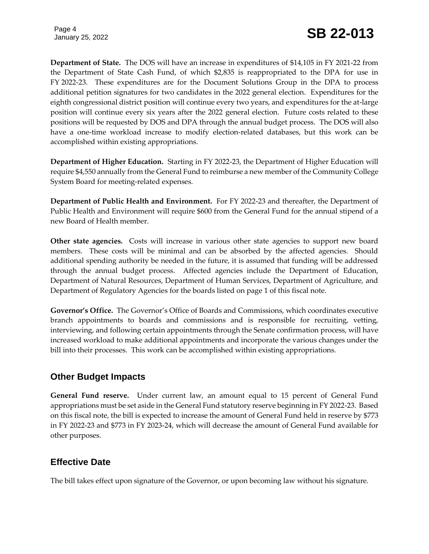Page 4

**Department of State.** The DOS will have an increase in expenditures of \$14,105 in FY 2021-22 from the Department of State Cash Fund, of which \$2,835 is reappropriated to the DPA for use in FY 2022-23. These expenditures are for the Document Solutions Group in the DPA to process additional petition signatures for two candidates in the 2022 general election. Expenditures for the eighth congressional district position will continue every two years, and expenditures for the at-large position will continue every six years after the 2022 general election. Future costs related to these positions will be requested by DOS and DPA through the annual budget process. The DOS will also have a one-time workload increase to modify election-related databases, but this work can be accomplished within existing appropriations.

**Department of Higher Education.** Starting in FY 2022-23, the Department of Higher Education will require \$4,550 annually from the General Fund to reimburse a new member of the Community College System Board for meeting-related expenses.

**Department of Public Health and Environment.** For FY 2022-23 and thereafter, the Department of Public Health and Environment will require \$600 from the General Fund for the annual stipend of a new Board of Health member.

**Other state agencies.** Costs will increase in various other state agencies to support new board members. These costs will be minimal and can be absorbed by the affected agencies. Should additional spending authority be needed in the future, it is assumed that funding will be addressed through the annual budget process. Affected agencies include the Department of Education, Department of Natural Resources, Department of Human Services, Department of Agriculture, and Department of Regulatory Agencies for the boards listed on page 1 of this fiscal note.

**Governor's Office.** The Governor's Office of Boards and Commissions, which coordinates executive branch appointments to boards and commissions and is responsible for recruiting, vetting, interviewing, and following certain appointments through the Senate confirmation process, will have increased workload to make additional appointments and incorporate the various changes under the bill into their processes. This work can be accomplished within existing appropriations.

#### **Other Budget Impacts**

**General Fund reserve.** Under current law, an amount equal to 15 percent of General Fund appropriations must be set aside in the General Fund statutory reserve beginning in FY 2022-23. Based on this fiscal note, the bill is expected to increase the amount of General Fund held in reserve by \$773 in FY 2022-23 and \$773 in FY 2023-24, which will decrease the amount of General Fund available for other purposes.

## **Effective Date**

The bill takes effect upon signature of the Governor, or upon becoming law without his signature.